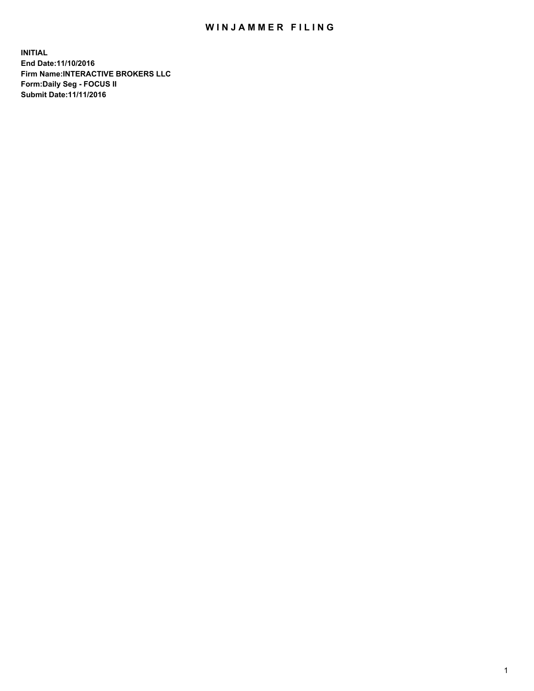## WIN JAMMER FILING

**INITIAL End Date:11/10/2016 Firm Name:INTERACTIVE BROKERS LLC Form:Daily Seg - FOCUS II Submit Date:11/11/2016**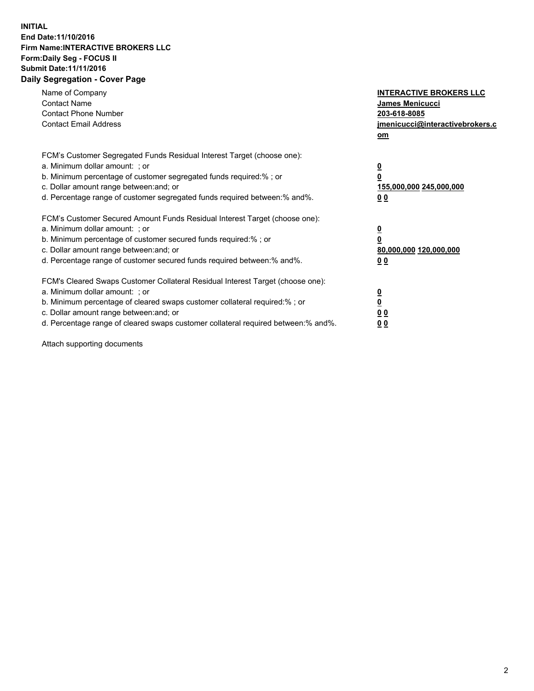## **INITIAL End Date:11/10/2016 Firm Name:INTERACTIVE BROKERS LLC Form:Daily Seg - FOCUS II Submit Date:11/11/2016 Daily Segregation - Cover Page**

| Name of Company<br><b>Contact Name</b><br><b>Contact Phone Number</b><br><b>Contact Email Address</b>                                                                                                                                                                                                                         | <b>INTERACTIVE BROKERS LLC</b><br><b>James Menicucci</b><br>203-618-8085<br><u>jmenicucci@interactivebrokers.c</u><br>om |
|-------------------------------------------------------------------------------------------------------------------------------------------------------------------------------------------------------------------------------------------------------------------------------------------------------------------------------|--------------------------------------------------------------------------------------------------------------------------|
| FCM's Customer Segregated Funds Residual Interest Target (choose one):<br>a. Minimum dollar amount: ; or<br>b. Minimum percentage of customer segregated funds required:%; or<br>c. Dollar amount range between: and; or<br>d. Percentage range of customer segregated funds required between:% and%.                         | $\overline{\mathbf{0}}$<br>0<br><u>155,000,000 245,000,000</u><br>0 <sub>0</sub>                                         |
| FCM's Customer Secured Amount Funds Residual Interest Target (choose one):<br>a. Minimum dollar amount: ; or<br>b. Minimum percentage of customer secured funds required:%; or<br>c. Dollar amount range between: and; or<br>d. Percentage range of customer secured funds required between: % and %.                         | $\overline{\mathbf{0}}$<br>0<br>80,000,000 120,000,000<br>0 <sub>0</sub>                                                 |
| FCM's Cleared Swaps Customer Collateral Residual Interest Target (choose one):<br>a. Minimum dollar amount: ; or<br>b. Minimum percentage of cleared swaps customer collateral required:%; or<br>c. Dollar amount range between: and; or<br>d. Percentage range of cleared swaps customer collateral required between:% and%. | $\overline{\mathbf{0}}$<br>$\overline{\mathbf{0}}$<br>0 <sub>0</sub><br>00                                               |

Attach supporting documents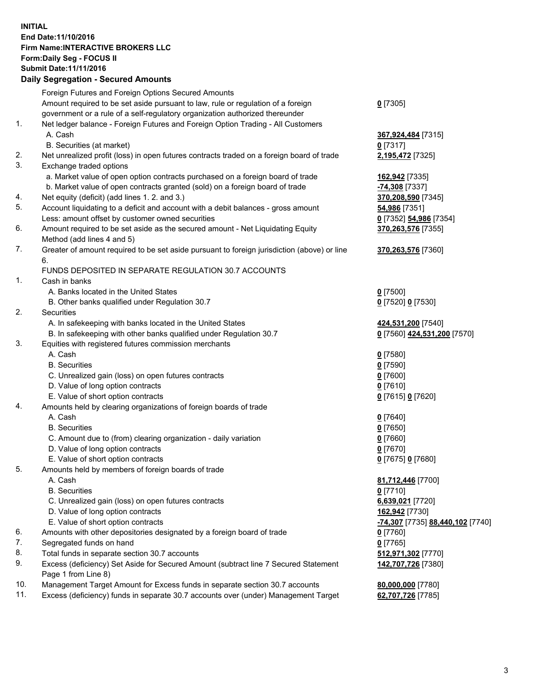## **INITIAL End Date:11/10/2016 Firm Name:INTERACTIVE BROKERS LLC Form:Daily Seg - FOCUS II Submit Date:11/11/2016 Daily Segregation - Secured Amounts**

|     | Daily Jegiegation - Jeculeu Alliounts                                                       |                                  |
|-----|---------------------------------------------------------------------------------------------|----------------------------------|
|     | Foreign Futures and Foreign Options Secured Amounts                                         |                                  |
|     | Amount required to be set aside pursuant to law, rule or regulation of a foreign            | $0$ [7305]                       |
|     | government or a rule of a self-regulatory organization authorized thereunder                |                                  |
| 1.  | Net ledger balance - Foreign Futures and Foreign Option Trading - All Customers             |                                  |
|     | A. Cash                                                                                     | 367,924,484 [7315]               |
|     | B. Securities (at market)                                                                   | $0$ [7317]                       |
| 2.  | Net unrealized profit (loss) in open futures contracts traded on a foreign board of trade   | 2,195,472 [7325]                 |
| 3.  | Exchange traded options                                                                     |                                  |
|     | a. Market value of open option contracts purchased on a foreign board of trade              | 162,942 [7335]                   |
|     | b. Market value of open contracts granted (sold) on a foreign board of trade                | -74,308 [7337]                   |
| 4.  | Net equity (deficit) (add lines 1. 2. and 3.)                                               | 370,208,590 [7345]               |
| 5.  |                                                                                             |                                  |
|     | Account liquidating to a deficit and account with a debit balances - gross amount           | 54,986 [7351]                    |
|     | Less: amount offset by customer owned securities                                            | 0 [7352] 54,986 [7354]           |
| 6.  | Amount required to be set aside as the secured amount - Net Liquidating Equity              | 370,263,576 [7355]               |
|     | Method (add lines 4 and 5)                                                                  |                                  |
| 7.  | Greater of amount required to be set aside pursuant to foreign jurisdiction (above) or line | 370, 263, 576 [7360]             |
|     | 6.                                                                                          |                                  |
|     | FUNDS DEPOSITED IN SEPARATE REGULATION 30.7 ACCOUNTS                                        |                                  |
| 1.  | Cash in banks                                                                               |                                  |
|     | A. Banks located in the United States                                                       | $0$ [7500]                       |
|     | B. Other banks qualified under Regulation 30.7                                              | 0 [7520] 0 [7530]                |
| 2.  | Securities                                                                                  |                                  |
|     | A. In safekeeping with banks located in the United States                                   | 424,531,200 [7540]               |
|     | B. In safekeeping with other banks qualified under Regulation 30.7                          | 0 [7560] 424,531,200 [7570]      |
| 3.  | Equities with registered futures commission merchants                                       |                                  |
|     | A. Cash                                                                                     | $0$ [7580]                       |
|     | <b>B.</b> Securities                                                                        | $0$ [7590]                       |
|     | C. Unrealized gain (loss) on open futures contracts                                         | $0$ [7600]                       |
|     | D. Value of long option contracts                                                           | $0$ [7610]                       |
|     | E. Value of short option contracts                                                          | 0 [7615] 0 [7620]                |
| 4.  | Amounts held by clearing organizations of foreign boards of trade                           |                                  |
|     | A. Cash                                                                                     | $0$ [7640]                       |
|     | <b>B.</b> Securities                                                                        | $0$ [7650]                       |
|     | C. Amount due to (from) clearing organization - daily variation                             | $0$ [7660]                       |
|     | D. Value of long option contracts                                                           | $0$ [7670]                       |
|     | E. Value of short option contracts                                                          | 0 [7675] 0 [7680]                |
| 5.  | Amounts held by members of foreign boards of trade                                          |                                  |
|     | A. Cash                                                                                     | 81,712,446 [7700]                |
|     | <b>B.</b> Securities                                                                        | $0$ [7710]                       |
|     | C. Unrealized gain (loss) on open futures contracts                                         | 6,639,021 [7720]                 |
|     | D. Value of long option contracts                                                           | 162,942 [7730]                   |
|     | E. Value of short option contracts                                                          | -74,307 [7735] 88,440,102 [7740] |
| 6.  | Amounts with other depositories designated by a foreign board of trade                      | 0 [7760]                         |
| 7.  | Segregated funds on hand                                                                    | $0$ [7765]                       |
| 8.  | Total funds in separate section 30.7 accounts                                               | 512,971,302 [7770]               |
| 9.  | Excess (deficiency) Set Aside for Secured Amount (subtract line 7 Secured Statement         | 142,707,726 [7380]               |
|     | Page 1 from Line 8)                                                                         |                                  |
| 10. | Management Target Amount for Excess funds in separate section 30.7 accounts                 |                                  |
| 11. | Excess (deficiency) funds in separate 30.7 accounts over (under) Management Target          | 80,000,000 [7780]                |
|     |                                                                                             | 62,707,726 [7785]                |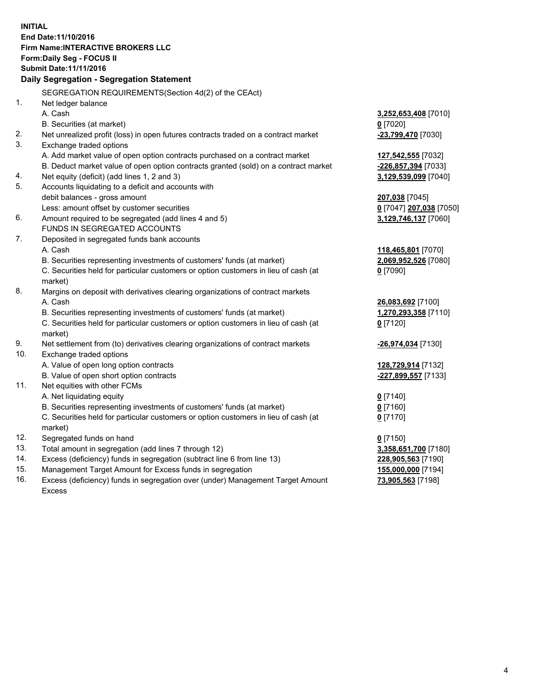**INITIAL End Date:11/10/2016 Firm Name:INTERACTIVE BROKERS LLC Form:Daily Seg - FOCUS II Submit Date:11/11/2016 Daily Segregation - Segregation Statement** SEGREGATION REQUIREMENTS(Section 4d(2) of the CEAct) 1. Net ledger balance A. Cash **3,252,653,408** [7010] B. Securities (at market) **0** [7020] 2. Net unrealized profit (loss) in open futures contracts traded on a contract market **-23,799,470** [7030] 3. Exchange traded options A. Add market value of open option contracts purchased on a contract market **127,542,555** [7032] B. Deduct market value of open option contracts granted (sold) on a contract market **-226,857,394** [7033] 4. Net equity (deficit) (add lines 1, 2 and 3) **3,129,539,099** [7040] 5. Accounts liquidating to a deficit and accounts with debit balances - gross amount **207,038** [7045] Less: amount offset by customer securities **0** [7047] **207,038** [7050] 6. Amount required to be segregated (add lines 4 and 5) **3,129,746,137** [7060] FUNDS IN SEGREGATED ACCOUNTS 7. Deposited in segregated funds bank accounts A. Cash **118,465,801** [7070] B. Securities representing investments of customers' funds (at market) **2,069,952,526** [7080] C. Securities held for particular customers or option customers in lieu of cash (at market) **0** [7090] 8. Margins on deposit with derivatives clearing organizations of contract markets A. Cash **26,083,692** [7100] B. Securities representing investments of customers' funds (at market) **1,270,293,358** [7110] C. Securities held for particular customers or option customers in lieu of cash (at market) **0** [7120] 9. Net settlement from (to) derivatives clearing organizations of contract markets **-26,974,034** [7130] 10. Exchange traded options A. Value of open long option contracts **128,729,914** [7132] B. Value of open short option contracts **-227,899,557** [7133] 11. Net equities with other FCMs A. Net liquidating equity **0** [7140] B. Securities representing investments of customers' funds (at market) **0** [7160] C. Securities held for particular customers or option customers in lieu of cash (at market) **0** [7170] 12. Segregated funds on hand **0** [7150] 13. Total amount in segregation (add lines 7 through 12) **3,358,651,700** [7180] 14. Excess (deficiency) funds in segregation (subtract line 6 from line 13) **228,905,563** [7190] 15. Management Target Amount for Excess funds in segregation **155,000,000** [7194]

16. Excess (deficiency) funds in segregation over (under) Management Target Amount Excess

**73,905,563** [7198]